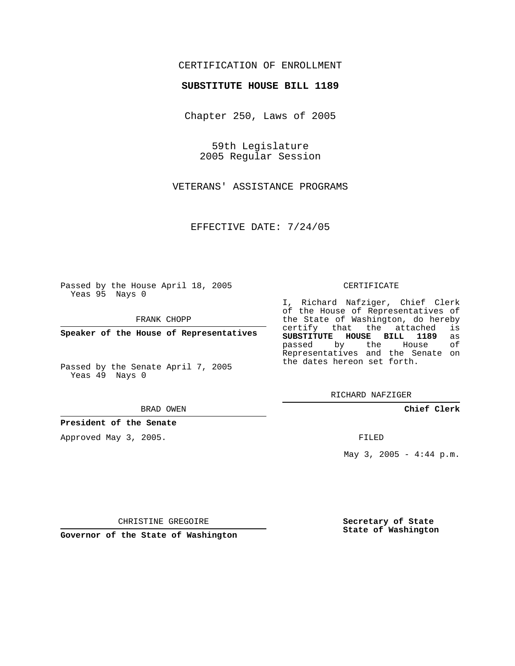## CERTIFICATION OF ENROLLMENT

### **SUBSTITUTE HOUSE BILL 1189**

Chapter 250, Laws of 2005

59th Legislature 2005 Regular Session

VETERANS' ASSISTANCE PROGRAMS

EFFECTIVE DATE: 7/24/05

Passed by the House April 18, 2005 Yeas 95 Nays 0

FRANK CHOPP

**Speaker of the House of Representatives**

Passed by the Senate April 7, 2005 Yeas 49 Nays 0

#### BRAD OWEN

**President of the Senate**

Approved May 3, 2005.

#### CERTIFICATE

I, Richard Nafziger, Chief Clerk of the House of Representatives of the State of Washington, do hereby<br>certify that the attached is certify that the attached **SUBSTITUTE HOUSE BILL 1189** as passed by the House Representatives and the Senate on the dates hereon set forth.

RICHARD NAFZIGER

**Chief Clerk**

FILED

May  $3, 2005 - 4:44 p.m.$ 

CHRISTINE GREGOIRE

**Governor of the State of Washington**

**Secretary of State State of Washington**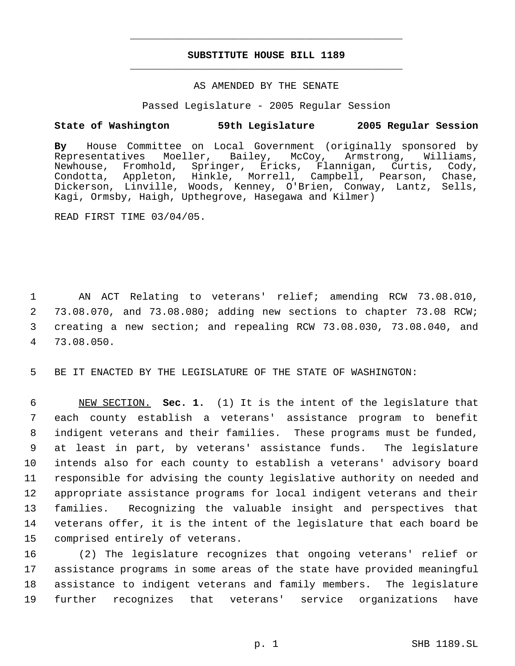# **SUBSTITUTE HOUSE BILL 1189** \_\_\_\_\_\_\_\_\_\_\_\_\_\_\_\_\_\_\_\_\_\_\_\_\_\_\_\_\_\_\_\_\_\_\_\_\_\_\_\_\_\_\_\_\_

\_\_\_\_\_\_\_\_\_\_\_\_\_\_\_\_\_\_\_\_\_\_\_\_\_\_\_\_\_\_\_\_\_\_\_\_\_\_\_\_\_\_\_\_\_

## AS AMENDED BY THE SENATE

Passed Legislature - 2005 Regular Session

## **State of Washington 59th Legislature 2005 Regular Session**

**By** House Committee on Local Government (originally sponsored by Representatives Moeller, Bailey, McCoy, Armstrong, Williams, Newhouse, Fromhold, Springer, Ericks, Flannigan, Curtis, Cody, Condotta, Appleton, Hinkle, Morrell, Campbell, Pearson, Chase, Dickerson, Linville, Woods, Kenney, O'Brien, Conway, Lantz, Sells, Kagi, Ormsby, Haigh, Upthegrove, Hasegawa and Kilmer)

READ FIRST TIME 03/04/05.

 AN ACT Relating to veterans' relief; amending RCW 73.08.010, 73.08.070, and 73.08.080; adding new sections to chapter 73.08 RCW; creating a new section; and repealing RCW 73.08.030, 73.08.040, and 73.08.050.

5 BE IT ENACTED BY THE LEGISLATURE OF THE STATE OF WASHINGTON:

 NEW SECTION. **Sec. 1.** (1) It is the intent of the legislature that each county establish a veterans' assistance program to benefit indigent veterans and their families. These programs must be funded, at least in part, by veterans' assistance funds. The legislature intends also for each county to establish a veterans' advisory board responsible for advising the county legislative authority on needed and appropriate assistance programs for local indigent veterans and their families. Recognizing the valuable insight and perspectives that veterans offer, it is the intent of the legislature that each board be comprised entirely of veterans.

 (2) The legislature recognizes that ongoing veterans' relief or assistance programs in some areas of the state have provided meaningful assistance to indigent veterans and family members. The legislature further recognizes that veterans' service organizations have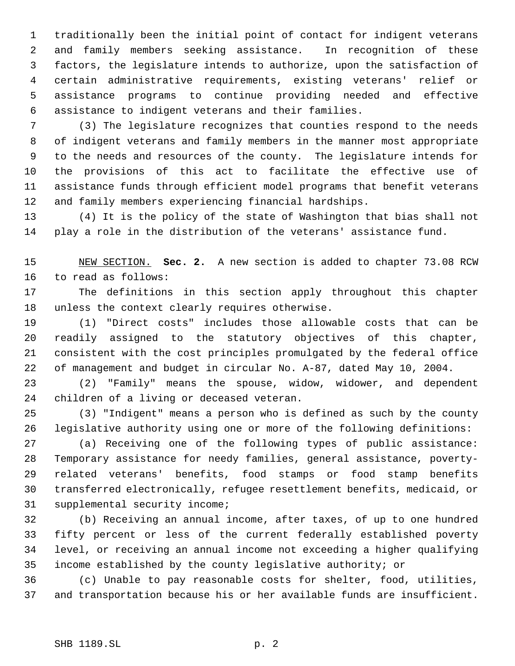traditionally been the initial point of contact for indigent veterans and family members seeking assistance. In recognition of these factors, the legislature intends to authorize, upon the satisfaction of certain administrative requirements, existing veterans' relief or assistance programs to continue providing needed and effective assistance to indigent veterans and their families.

 (3) The legislature recognizes that counties respond to the needs of indigent veterans and family members in the manner most appropriate to the needs and resources of the county. The legislature intends for the provisions of this act to facilitate the effective use of assistance funds through efficient model programs that benefit veterans and family members experiencing financial hardships.

 (4) It is the policy of the state of Washington that bias shall not play a role in the distribution of the veterans' assistance fund.

 NEW SECTION. **Sec. 2.** A new section is added to chapter 73.08 RCW to read as follows:

 The definitions in this section apply throughout this chapter unless the context clearly requires otherwise.

 (1) "Direct costs" includes those allowable costs that can be readily assigned to the statutory objectives of this chapter, consistent with the cost principles promulgated by the federal office of management and budget in circular No. A-87, dated May 10, 2004.

 (2) "Family" means the spouse, widow, widower, and dependent children of a living or deceased veteran.

 (3) "Indigent" means a person who is defined as such by the county legislative authority using one or more of the following definitions:

 (a) Receiving one of the following types of public assistance: Temporary assistance for needy families, general assistance, poverty- related veterans' benefits, food stamps or food stamp benefits transferred electronically, refugee resettlement benefits, medicaid, or supplemental security income;

 (b) Receiving an annual income, after taxes, of up to one hundred fifty percent or less of the current federally established poverty level, or receiving an annual income not exceeding a higher qualifying income established by the county legislative authority; or

 (c) Unable to pay reasonable costs for shelter, food, utilities, and transportation because his or her available funds are insufficient.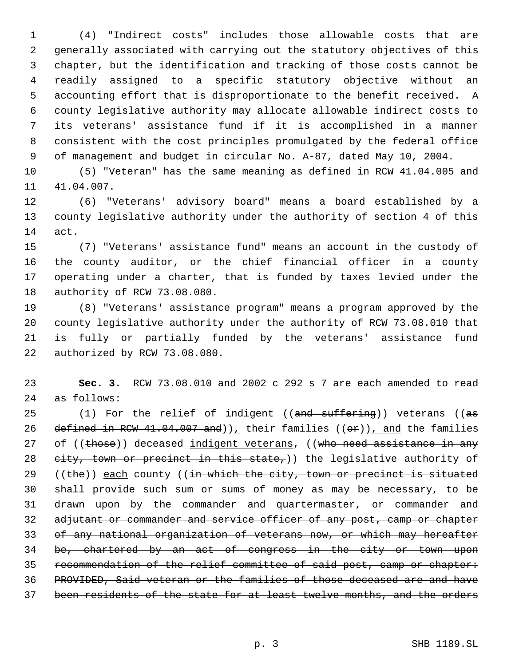(4) "Indirect costs" includes those allowable costs that are generally associated with carrying out the statutory objectives of this chapter, but the identification and tracking of those costs cannot be readily assigned to a specific statutory objective without an accounting effort that is disproportionate to the benefit received. A county legislative authority may allocate allowable indirect costs to its veterans' assistance fund if it is accomplished in a manner consistent with the cost principles promulgated by the federal office of management and budget in circular No. A-87, dated May 10, 2004.

 (5) "Veteran" has the same meaning as defined in RCW 41.04.005 and 41.04.007.

 (6) "Veterans' advisory board" means a board established by a county legislative authority under the authority of section 4 of this act.

 (7) "Veterans' assistance fund" means an account in the custody of the county auditor, or the chief financial officer in a county operating under a charter, that is funded by taxes levied under the authority of RCW 73.08.080.

 (8) "Veterans' assistance program" means a program approved by the county legislative authority under the authority of RCW 73.08.010 that is fully or partially funded by the veterans' assistance fund authorized by RCW 73.08.080.

 **Sec. 3.** RCW 73.08.010 and 2002 c 292 s 7 are each amended to read as follows:

 $(1)$  For the relief of indigent ((and suffering)) veterans ((as 26 defined in RCW 41.04.007 and)), their families  $((\theta \cdot \theta))$ , and the families 27 of ((those)) deceased indigent veterans, ((who need assistance in any  $e$ ity, town or precinct in this state,)) the legislative authority of  $((the))$  each county  $((in which the city, town or precient is situated)$  shall provide such sum or sums of money as may be necessary, to be drawn upon by the commander and quartermaster, or commander and 32 adjutant or commander and service officer of any post, camp or chapter 33 of any national organization of veterans now, or which may hereafter be, chartered by an act of congress in the city or town upon recommendation of the relief committee of said post, camp or chapter: PROVIDED, Said veteran or the families of those deceased are and have 37 been residents of the state for at least twelve months, and the orders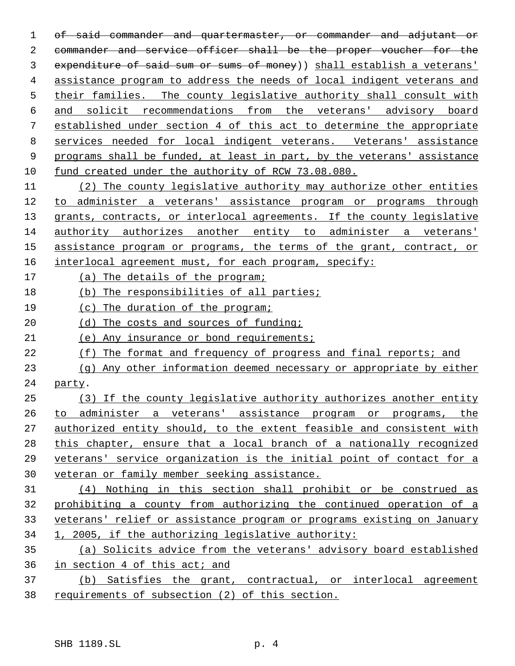of said commander and quartermaster, or commander and adjutant or commander and service officer shall be the proper voucher for the 3 expenditure of said sum or sums of money)) shall establish a veterans' assistance program to address the needs of local indigent veterans and 5 their families. The county legislative authority shall consult with and solicit recommendations from the veterans' advisory board established under section 4 of this act to determine the appropriate services needed for local indigent veterans. Veterans' assistance programs shall be funded, at least in part, by the veterans' assistance fund created under the authority of RCW 73.08.080. (2) The county legislative authority may authorize other entities

 to administer a veterans' assistance program or programs through 13 grants, contracts, or interlocal agreements. If the county legislative authority authorizes another entity to administer a veterans' 15 assistance program or programs, the terms of the grant, contract, or 16 interlocal agreement must, for each program, specify:

- (a) The details of the program;
- (b) The responsibilities of all parties;
- (c) The duration of the program;
- 20 (d) The costs and sources of funding;
- (e) Any insurance or bond requirements;
- (f) The format and frequency of progress and final reports; and
- (g) Any other information deemed necessary or appropriate by either party.

 (3) If the county legislative authority authorizes another entity to administer a veterans' assistance program or programs, the authorized entity should, to the extent feasible and consistent with this chapter, ensure that a local branch of a nationally recognized veterans' service organization is the initial point of contact for a veteran or family member seeking assistance.

 (4) Nothing in this section shall prohibit or be construed as prohibiting a county from authorizing the continued operation of a veterans' relief or assistance program or programs existing on January 1, 2005, if the authorizing legislative authority:

 (a) Solicits advice from the veterans' advisory board established in section 4 of this act; and

 (b) Satisfies the grant, contractual, or interlocal agreement requirements of subsection (2) of this section.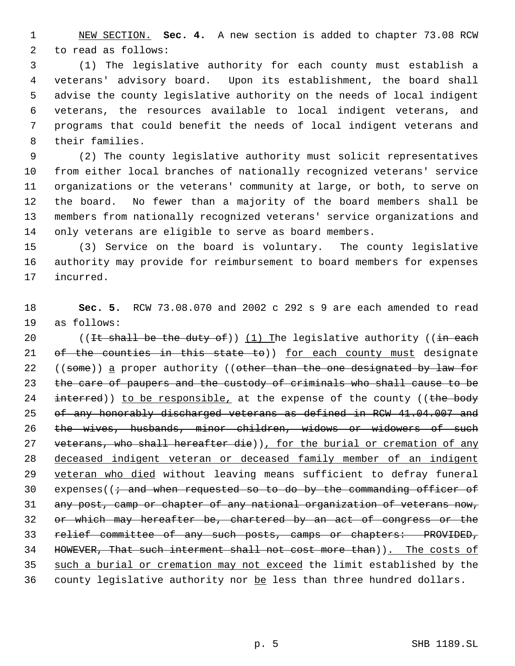NEW SECTION. **Sec. 4.** A new section is added to chapter 73.08 RCW to read as follows:

 (1) The legislative authority for each county must establish a veterans' advisory board. Upon its establishment, the board shall advise the county legislative authority on the needs of local indigent veterans, the resources available to local indigent veterans, and programs that could benefit the needs of local indigent veterans and their families.

 (2) The county legislative authority must solicit representatives from either local branches of nationally recognized veterans' service organizations or the veterans' community at large, or both, to serve on the board. No fewer than a majority of the board members shall be members from nationally recognized veterans' service organizations and only veterans are eligible to serve as board members.

 (3) Service on the board is voluntary. The county legislative authority may provide for reimbursement to board members for expenses incurred.

 **Sec. 5.** RCW 73.08.070 and 2002 c 292 s 9 are each amended to read as follows:

20 ((It shall be the duty of))  $(1)$  The legislative authority ((in each 21 of the counties in this state to)) for each county must designate 22 ((some)) a proper authority ((other than the one designated by law for the care of paupers and the custody of criminals who shall cause to be 24  $interred)$ ) to be responsible, at the expense of the county ((the body of any honorably discharged veterans as defined in RCW 41.04.007 and the wives, husbands, minor children, widows or widowers of such 27 veterans, who shall hereafter die)), for the burial or cremation of any deceased indigent veteran or deceased family member of an indigent 29 veteran who died without leaving means sufficient to defray funeral 30 expenses( $\left(i + \text{and when requested so to do by the commanding officer of } \right)$ 31 any post, camp or chapter of any national organization of veterans now, or which may hereafter be, chartered by an act of congress or the relief committee of any such posts, camps or chapters: PROVIDED, HOWEVER, That such interment shall not cost more than)). The costs of such a burial or cremation may not exceed the limit established by the 36 county legislative authority nor be less than three hundred dollars.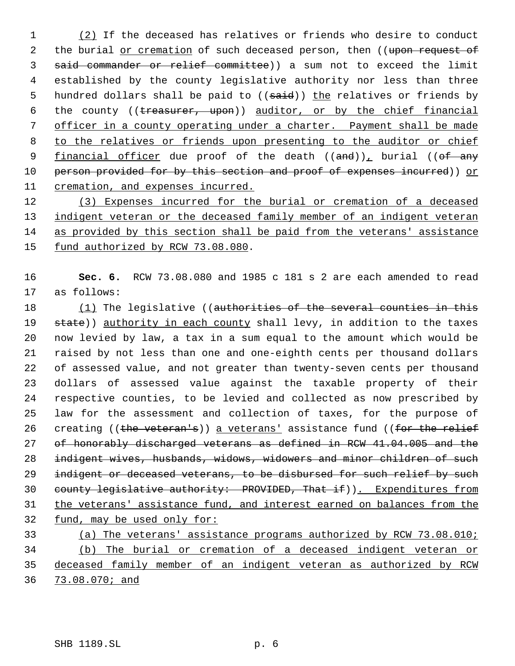1 (2) If the deceased has relatives or friends who desire to conduct 2 the burial or cremation of such deceased person, then ((upon request of said commander or relief committee)) a sum not to exceed the limit established by the county legislative authority nor less than three 5 hundred dollars shall be paid to ((said)) the relatives or friends by 6 the county ((treasurer, upon)) auditor, or by the chief financial officer in a county operating under a charter. Payment shall be made 8 to the relatives or friends upon presenting to the auditor or chief 9 financial officer due proof of the death  $((and))_+$  burial  $((of-any))_+$ 10 person provided for by this section and proof of expenses incurred)) or cremation, and expenses incurred.

 (3) Expenses incurred for the burial or cremation of a deceased 13 indigent veteran or the deceased family member of an indigent veteran as provided by this section shall be paid from the veterans' assistance fund authorized by RCW 73.08.080.

 **Sec. 6.** RCW 73.08.080 and 1985 c 181 s 2 are each amended to read as follows:

18 (1) The legislative ((authorities of the several counties in this 19 state)) authority in each county shall levy, in addition to the taxes now levied by law, a tax in a sum equal to the amount which would be raised by not less than one and one-eighth cents per thousand dollars of assessed value, and not greater than twenty-seven cents per thousand dollars of assessed value against the taxable property of their respective counties, to be levied and collected as now prescribed by law for the assessment and collection of taxes, for the purpose of 26 creating ((the veteran's)) a veterans' assistance fund ((for the relief of honorably discharged veterans as defined in RCW 41.04.005 and the indigent wives, husbands, widows, widowers and minor children of such 29 indigent or deceased veterans, to be disbursed for such relief by such 30 county legislative authority: PROVIDED, That if)). Expenditures from the veterans' assistance fund, and interest earned on balances from the fund, may be used only for: (a) The veterans' assistance programs authorized by RCW 73.08.010;

 (b) The burial or cremation of a deceased indigent veteran or deceased family member of an indigent veteran as authorized by RCW 73.08.070; and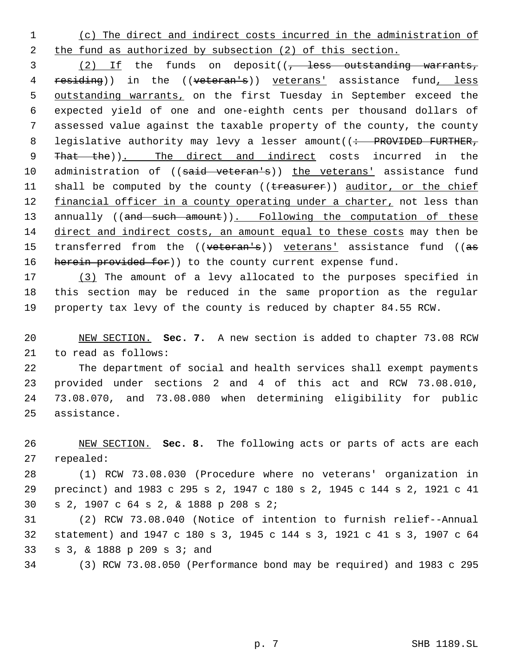(c) The direct and indirect costs incurred in the administration of 2 the fund as authorized by subsection (2) of this section.

3 (2) If the funds on deposit((, less outstanding warrants, 4 residing)) in the ((veteran's)) veterans' assistance fund, less outstanding warrants, on the first Tuesday in September exceed the expected yield of one and one-eighth cents per thousand dollars of assessed value against the taxable property of the county, the county 8 legislative authority may levy a lesser amount( $\left( \div \right)$  PROVIDED FURTHER, 9 That the)). The direct and indirect costs incurred in the 10 administration of ((said veteran's)) the veterans' assistance fund 11 shall be computed by the county ((treasurer)) auditor, or the chief 12 financial officer in a county operating under a charter, not less than 13 annually ((and such amount)). Following the computation of these direct and indirect costs, an amount equal to these costs may then be 15 transferred from the ((veteran's)) veterans' assistance fund ((as 16 herein provided for) to the county current expense fund.

 (3) The amount of a levy allocated to the purposes specified in this section may be reduced in the same proportion as the regular property tax levy of the county is reduced by chapter 84.55 RCW.

 NEW SECTION. **Sec. 7.** A new section is added to chapter 73.08 RCW to read as follows:

 The department of social and health services shall exempt payments provided under sections 2 and 4 of this act and RCW 73.08.010, 73.08.070, and 73.08.080 when determining eligibility for public assistance.

 NEW SECTION. **Sec. 8.** The following acts or parts of acts are each repealed:

 (1) RCW 73.08.030 (Procedure where no veterans' organization in precinct) and 1983 c 295 s 2, 1947 c 180 s 2, 1945 c 144 s 2, 1921 c 41 s 2, 1907 c 64 s 2, & 1888 p 208 s 2;

 (2) RCW 73.08.040 (Notice of intention to furnish relief--Annual statement) and 1947 c 180 s 3, 1945 c 144 s 3, 1921 c 41 s 3, 1907 c 64 s 3, & 1888 p 209 s 3; and

(3) RCW 73.08.050 (Performance bond may be required) and 1983 c 295